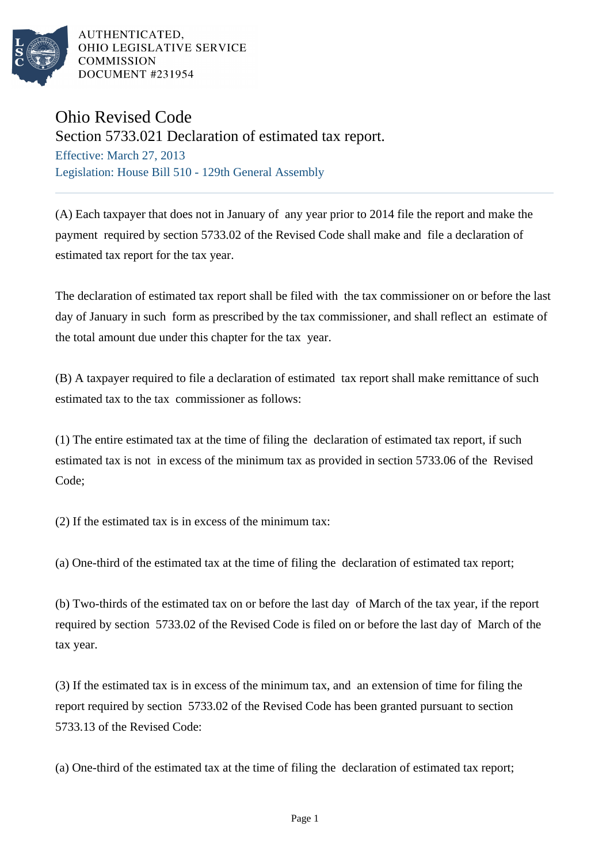

AUTHENTICATED. OHIO LEGISLATIVE SERVICE **COMMISSION** DOCUMENT #231954

## Ohio Revised Code

Section 5733.021 Declaration of estimated tax report.

Effective: March 27, 2013 Legislation: House Bill 510 - 129th General Assembly

(A) Each taxpayer that does not in January of any year prior to 2014 file the report and make the payment required by section 5733.02 of the Revised Code shall make and file a declaration of estimated tax report for the tax year.

The declaration of estimated tax report shall be filed with the tax commissioner on or before the last day of January in such form as prescribed by the tax commissioner, and shall reflect an estimate of the total amount due under this chapter for the tax year.

(B) A taxpayer required to file a declaration of estimated tax report shall make remittance of such estimated tax to the tax commissioner as follows:

(1) The entire estimated tax at the time of filing the declaration of estimated tax report, if such estimated tax is not in excess of the minimum tax as provided in section 5733.06 of the Revised Code;

(2) If the estimated tax is in excess of the minimum tax:

(a) One-third of the estimated tax at the time of filing the declaration of estimated tax report;

(b) Two-thirds of the estimated tax on or before the last day of March of the tax year, if the report required by section 5733.02 of the Revised Code is filed on or before the last day of March of the tax year.

(3) If the estimated tax is in excess of the minimum tax, and an extension of time for filing the report required by section 5733.02 of the Revised Code has been granted pursuant to section 5733.13 of the Revised Code:

(a) One-third of the estimated tax at the time of filing the declaration of estimated tax report;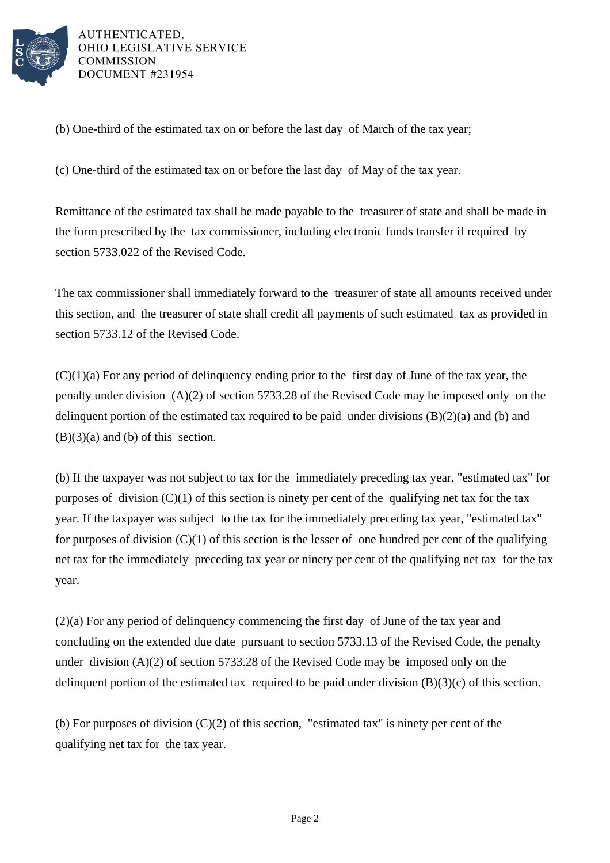

AUTHENTICATED. OHIO LEGISLATIVE SERVICE **COMMISSION** DOCUMENT #231954

(b) One-third of the estimated tax on or before the last day of March of the tax year;

(c) One-third of the estimated tax on or before the last day of May of the tax year.

Remittance of the estimated tax shall be made payable to the treasurer of state and shall be made in the form prescribed by the tax commissioner, including electronic funds transfer if required by section 5733.022 of the Revised Code.

The tax commissioner shall immediately forward to the treasurer of state all amounts received under this section, and the treasurer of state shall credit all payments of such estimated tax as provided in section 5733.12 of the Revised Code.

 $(C)(1)(a)$  For any period of delinquency ending prior to the first day of June of the tax year, the penalty under division (A)(2) of section 5733.28 of the Revised Code may be imposed only on the delinquent portion of the estimated tax required to be paid under divisions (B)(2)(a) and (b) and  $(B)(3)(a)$  and  $(b)$  of this section.

(b) If the taxpayer was not subject to tax for the immediately preceding tax year, "estimated tax" for purposes of division  $(C)(1)$  of this section is ninety per cent of the qualifying net tax for the tax year. If the taxpayer was subject to the tax for the immediately preceding tax year, "estimated tax" for purposes of division  $(C)(1)$  of this section is the lesser of one hundred per cent of the qualifying net tax for the immediately preceding tax year or ninety per cent of the qualifying net tax for the tax year.

(2)(a) For any period of delinquency commencing the first day of June of the tax year and concluding on the extended due date pursuant to section 5733.13 of the Revised Code, the penalty under division (A)(2) of section 5733.28 of the Revised Code may be imposed only on the delinquent portion of the estimated tax required to be paid under division (B)(3)(c) of this section.

(b) For purposes of division  $(C)(2)$  of this section, "estimated tax" is ninety per cent of the qualifying net tax for the tax year.